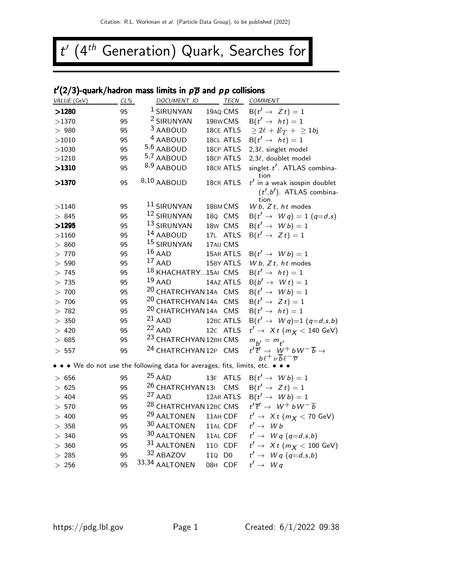## t ′  $(4^{th}$  Generation) Quark, Searches for

# $t'(2/3)$ -quark/hadron mass limits in  $\rho \overline{\rho}$  and  $\rho \rho$  collisions

| VALUE (GeV)                                                                   | CL% | DOCUMENT ID                       | <b>TECN</b>        | COMMENT                                                                                                             |
|-------------------------------------------------------------------------------|-----|-----------------------------------|--------------------|---------------------------------------------------------------------------------------------------------------------|
| >1280                                                                         | 95  | <sup>1</sup> SIRUNYAN             | 19AQ CMS           | $B(t' \rightarrow Zt) = 1$                                                                                          |
| >1370                                                                         | 95  | <sup>2</sup> SIRUNYAN             | 19BWCMS            | $B(t' \rightarrow ht) = 1$                                                                                          |
| >980                                                                          | 95  | 3 AABOUD                          | 18CE ATLS          | $\geq 2\ell + \not\!\!{E_T}$ + $\geq 1$ bj                                                                          |
| >1010                                                                         | 95  | <sup>4</sup> AABOUD               | 18CL ATLS          | $B(t' \rightarrow ht) = 1$                                                                                          |
| >1030                                                                         | 95  | 5,6 AABOUD                        | 18CP ATLS          | $2,3\ell$ , singlet model                                                                                           |
| >1210                                                                         | 95  | 5,7 AABOUD                        | 18CP ATLS          | $2,3\ell$ , doublet model                                                                                           |
| >1310                                                                         | 95  | $8,9$ AABOUD                      | 18CR ATLS          | singlet t'. ATLAS combina-                                                                                          |
| >1370                                                                         | 95  | 8,10 AABOUD                       | 18CR ATLS          | tion<br>$t'$ in a weak isospin doublet<br>$(t', b')$ . ATLAS combina-                                               |
| >1140                                                                         | 95  | 11 SIRUNYAN                       | 18BM CMS           | tion.<br>$W b$ , $Z t$ , $h t$ modes                                                                                |
| > 845                                                                         | 95  | 12 SIRUNYAN                       | 18Q CMS            | $B(t' \to W q) = 1 (q=d,s)$                                                                                         |
| >1295                                                                         | 95  | 13 SIRUNYAN                       | 18w CMS            | $B(t' \rightarrow Wb) = 1$                                                                                          |
| >1160                                                                         | 95  | <sup>14</sup> AABOUD              | 17L ATLS           | $B(t' \rightarrow Zt) = 1$                                                                                          |
| >860                                                                          | 95  | 15 SIRUNYAN                       | 17AU CMS           |                                                                                                                     |
| > 770                                                                         | 95  | $16$ AAD                          | 15AR ATLS          | $B(t' \rightarrow Wb) = 1$                                                                                          |
| $>590$                                                                        | 95  | $17$ AAD                          | 15BY ATLS          | W $b$ , $Zt$ , $ht$ modes                                                                                           |
| >745                                                                          | 95  | 18 KHACHATRY15AI CMS              |                    | $B(t' \rightarrow ht) = 1$                                                                                          |
| >735                                                                          | 95  | $19$ AAD                          | 14AZ ATLS          | $B(b' \rightarrow Wt) = 1$                                                                                          |
| >700                                                                          | 95  | <sup>20</sup> CHATRCHYAN 14A CMS  |                    | $B(t' \rightarrow Wb) = 1$                                                                                          |
| >706                                                                          | 95  | <sup>20</sup> CHATRCHYAN 14A CMS  |                    | $B(t' \rightarrow Zt) = 1$                                                                                          |
| > 782                                                                         | 95  | <sup>20</sup> CHATRCHYAN 14A CMS  |                    | $B(t' \rightarrow ht) = 1$                                                                                          |
| >350                                                                          | 95  | $21$ AAD                          | 12BC ATLS          | $B(t' \to W q)=1 (q=d,s,b)$                                                                                         |
| $>420$                                                                        | 95  | $22$ AAD                          | 12c ATLS           | $t' \rightarrow Xt$ (m $_X$ < 140 GeV)                                                                              |
| >685                                                                          | 95  | <sup>23</sup> CHATRCHYAN 12BH CMS |                    | $m_{h'} = m_{t'}$                                                                                                   |
| > 557                                                                         | 95  | <sup>24</sup> CHATRCHYAN 12P CMS  |                    | $t'\overline{t}' \rightarrow W^+ bW^- \overline{b} \rightarrow$<br>$b\ell^+ \nu \overline{b} \ell^- \overline{\nu}$ |
| • • • We do not use the following data for averages, fits, limits, etc. • • • |     |                                   |                    |                                                                                                                     |
| >656                                                                          | 95  | $25$ AAD                          | 13F<br><b>ATLS</b> | $B(t' \rightarrow Wb) = 1$                                                                                          |
| $>625$                                                                        | 95  | <sup>26</sup> CHATRCHYAN 13I      | CMS                | $B(t' \rightarrow Zt) = 1$                                                                                          |
| > 404                                                                         | 95  | $27$ AAD                          | 12AR ATLS          | $B(t' \rightarrow Wb) = 1$                                                                                          |
| $>570$                                                                        | 95  | <sup>28</sup> CHATRCHYAN 12BC CMS |                    | $t'\overline{t}' \rightarrow W^+ b W^- \overline{b}$                                                                |
| $>400$                                                                        | 95  | <sup>29</sup> AALTONEN            | 11AH CDF           | $t' \rightarrow X t (m_X < 70$ GeV)                                                                                 |
| >358                                                                          | 95  | 30 AALTONEN                       | 11AL CDF           | $t' \rightarrow Wb$                                                                                                 |
| > 340                                                                         | 95  | 30 AALTONEN                       | 11AL CDF           | $t' \rightarrow Wq (q=d,s,b)$                                                                                       |
| $>360$                                                                        | 95  | 31 AALTONEN                       | 110 CDF            | $t' \rightarrow Xt$ ( $m_X < 100$ GeV)                                                                              |
| $>285$                                                                        | 95  | 32 ABAZOV                         | 11Q D0             | $t' \rightarrow Wq (q=d,s,b)$                                                                                       |
| $>256$                                                                        | 95  | 33,34 AALTONEN                    | 08H CDF            | $t' \rightarrow Wq$                                                                                                 |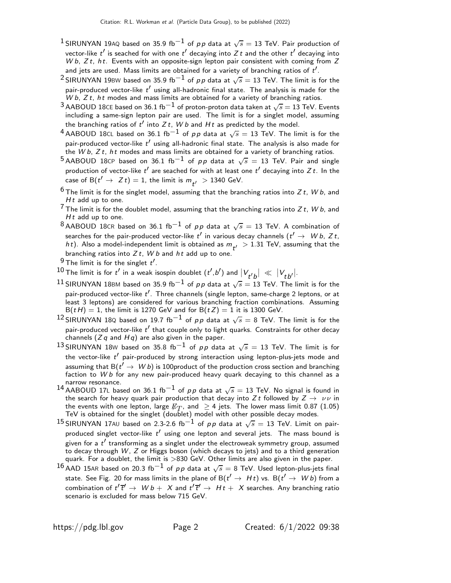- $^1$ SIRUNYAN 19AQ based on 35.9 fb $^{-1}$  of  $\rho \rho$  data at  $\sqrt{s}=$  13 TeV. Pair production of vector-like  $t'$  is seached for with one  $t'$  decaying into  $Z\,t$  and the other  $t'$  decaying into W b,  $Zt$ ,  $ht$ . Events with an opposite-sign lepton pair consistent with coming from  $Z$ and jets are used. Mass limits are obtained for a variety of branching ratios of  $t^\prime$ .
- <sup>2</sup> SIRUNYAN 19BW based on 35.9 fb<sup>-1</sup> of pp data at  $\sqrt{s} = 13$  TeV. The limit is for the pair-produced vector-like t' using all-hadronic final state. The analysis is made for the  $W b$ ,  $Z t$ , ht modes and mass limits are obtained for a variety of branching ratios.
- $^3$ AABOUD 18CE based on 36.1 fb $^{-1}$  of proton-proton data taken at  $\sqrt{s} = 13$  TeV. Events including a same-sign lepton pair are used. The limit is for a singlet model, assuming the branching ratios of  $t'$  into  $Z$   $t$ ,  $W$   $b$  and  $H$   $t$  as predicted by the model.
- $^4$ AABOUD 18CL based on 36.1 fb $^{-1}$  of  $\rho \rho$  data at  $\sqrt{s}=$  13 TeV. The limit is for the pair-produced vector-like t' using all-hadronic final state. The analysis is also made for the  $W b$ ,  $Z t$ ,  $h t$  modes and mass limits are obtained for a variety of branching ratios.
- $^5$ AABOUD 18CP based on 36.1 fb $^{-1}$  of  $\rho \rho$  data at  $\sqrt{s}$  = 13 TeV. Pair and single production of vector-like  $t'$  are seached for with at least one  $t'$  decaying into  $Zt$ . In the case of  $\mathsf{B}(t' \to Zt) = 1$ , the limit is  $m_{t'} > 1340$  GeV.
- $6$  The limit is for the singlet model, assuming that the branching ratios into Z t, W b, and  $Ht$  add up to one.
- The limit is for the doublet model, assuming that the branching ratios into  $Zt$ , W b, and  $Ht$  add up to one.
- $^8$ AABOUD 18CR based on 36.1 fb $^{-1}$  of  $\rho \rho$  data at  $\sqrt{s} =$  13 TeV. A combination of searches for the pair-produced vector-like  $t'$  in various decay channels  $(t' \rightarrow Wb, Zt,$ ht). Also a model-independent limit is obtained as  $m_{t'} > 1.31$  TeV, assuming that the branching ratios into  $Zt$ ,  $Wb$  and  $ht$  add up to one.
- $^9$  The limit is for the singlet  $t^{\prime}.$
- 10 The limit is for  $t'$  in a weak isospin doublet  $(t', b')$  and  $|V_{t'b}| \ll |V_{tb'}|$ .
- 11 SIRUNYAN 18BM based on 35.9 fb<sup>-1</sup> of pp data at  $\sqrt{s} = 13$  TeV. The limit is for the pair-produced vector-like t'. Three channels (single lepton, same-charge 2 leptons, or at least 3 leptons) are considered for various branching fraction combinations. Assuming  $B(t H) = 1$ , the limit is 1270 GeV and for  $B(t Z) = 1$  it is 1300 GeV.
- 12 SIRUNYAN 18Q based on 19.7 fb<sup>-1</sup> of pp data at  $\sqrt{s} = 8$  TeV. The limit is for the pair-produced vector-like  $t'$  that couple only to light quarks. Constraints for other decay channels  $(Zq$  and  $Hq)$  are also given in the paper.
- $^{13}$ SIRUNYAN 18W based on 35.8 fb $^{-1}$  of  $\rho \rho$  data at  $\sqrt{s} =$  13 TeV. The limit is for the vector-like t ′ pair-produced by strong interaction using lepton-plus-jets mode and assuming that  $B(t' \rightarrow Wb)$  is 100product of the production cross section and branching faction to  $Wb$  for any new pair-produced heavy quark decaying to this channel as a narrow resonance.
- <sup>14</sup> AABOUD 17L based on 36.1 fb<sup>-1</sup> of pp data at  $\sqrt{s} = 13$  TeV. No signal is found in the search for heavy quark pair production that decay into Z t followed by  $Z \rightarrow \nu \nu$  in the events with one lepton, large  $\not\!\!E_T$ , and  $\geq$  4 jets. The lower mass limit 0.87 (1.05)<br>TeV is obtained for the singlet (doublet) model with other possible decay modes.
- $^{15}$ SIRUNYAN 17AU based on 2.3-2.6 fb $^{-1}$  of  $\rho \rho$  data at  $\sqrt{s} =$  13 TeV. Limit on pairproduced singlet vector-like  $t'$  using one lepton and several jets. The mass bound is given for a  $t^\prime$  transforming as a singlet under the electroweak symmetry group, assumed to decay through W, Z or Higgs boson (which decays to jets) and to a third generation quark. For a doublet, the limit is >830 GeV. Other limits are also given in the paper.
- $^{16}$ AAD 15AR based on 20.3 fb $^{-1}$  of  $\rho \rho$  data at  $\sqrt{s} =$  8 TeV. Used lepton-plus-jets final state. See Fig. 20 for mass limits in the plane of B $(t' \rightarrow Ht)$  vs. B $(t' \rightarrow Wb)$  from a combination of  $t'\overline{t}' \rightarrow Wb + X$  and  $t'\overline{t}' \rightarrow Ht + X$  searches. Any branching ratio scenario is excluded for mass below 715 GeV.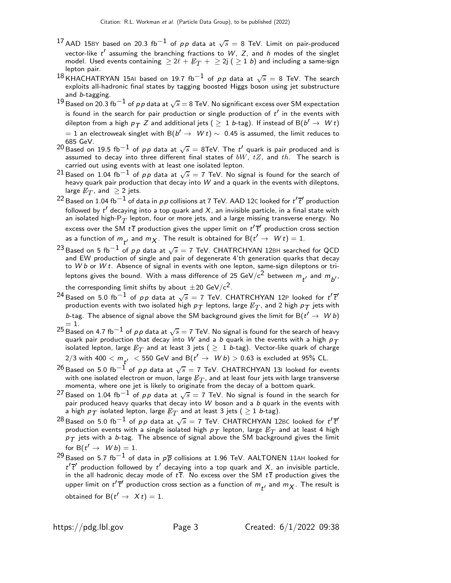- $^{17}$ AAD 15BY based on 20.3 fb $^{-1}$  of  $\rho \rho$  data at  $\sqrt{s} =$  8 TeV. Limit on pair-produced vector-like  $t'$  assuming the branching fractions to  $W$ ,  $Z$ , and  $h$  modes of the singlet model. Used events containing  $\geq 2\ell + \not\!\!{E}_T + \geq 2j$  ( $\geq 1$  b) and including a same-sign lepton pair.
- $^{18}$ KHACHATRYAN 15AI based on 19.7 fb $^{-1}$  of  $\rho \rho$  data at  $\sqrt{s} =$  8 TeV. The search exploits all-hadronic final states by tagging boosted Higgs boson using jet substructure and b-tagging.
- $^{19}$  Based on 20.3 fb $^{-1}$  of pp data at  $\sqrt{s} =$  8 TeV. No significant excess over SM expectation is found in the search for pair production or single production of  $t'$  in the events with dilepton from a high  $\rho_\mathcal{T}$  Z and additional jets (  $\geq~1$  *b*-tag). If instead of B( $b' \rightarrow~W$ *t*)  $= 1$  an electroweak singlet with B( $b' \rightarrow W t) \sim 0.45$  is assumed, the limit reduces to 685 GeV.
- $^{20}$  Based on 19.5 fb $^{-1}$  of pp data at  $\sqrt{s} = 8$ TeV. The  $t'$  quark is pair produced and is assumed to decay into three different final states of  $bW$ ,  $tZ$ , and  $th$ . The search is carried out using events with at least one isolated lepton.
- $^{21}$ Based on 1.04 fb $^{-1}$  of  $\rho\, \rho$  data at  $\sqrt{s}=$  7 TeV. No signal is found for the search of heavy quark pair production that decay into  $W$  and a quark in the events with dileptons, large  $\not\hspace{-1.2mm}E_{T}$ , and  $\geq$  2 jets.
- $^{22}$ Based on 1.04 fb $^{-1}$  of data in  $\rho\, \rho$  collisions at 7 TeV. AAD 12C looked for  $t'\overline{t}'$  production followed by  $t^\prime$  decaying into a top quark and  $X$ , an invisible particle, in a final state with an isolated high-P $_T$  lepton, four or more jets, and a large missing transverse energy. No excess over the SM  $t\bar{t}$  production gives the upper limit on  $t'\bar{t}'$  production cross section as a function of  $m_{t'}$  and  $m_X$ . The result is obtained for B $(t' \rightarrow Wt) = 1$ .
- $^{23}$ Based on 5 fb $^{-1}$  of  $\rho \rho$  data at  $\sqrt{s}=$  7 TeV. CHATRCHYAN 12BH searched for QCD and EW production of single and pair of degenerate 4'th generation quarks that decay to  $Wb$  or  $Wt$ . Absence of signal in events with one lepton, same-sign dileptons or trileptons gives the bound. With a mass difference of 25 GeV/c<sup>2</sup> between  $m_{t'}$  and  $m_{b'}$ ,

the corresponding limit shifts by about  $\pm 20$  GeV/ $c^2$ .

- $^{24}$ Based on 5.0 fb $^{-1}$  of  $\rho \rho$  data at  $\sqrt{s}=$  7 TeV. CHATRCHYAN 12P looked for  $t'\overline{t}'$ production events with two isolated high  $\rho_\mathcal{T}$  leptons, large  $\not\hspace{-1.2mm}E_{T}$ , and 2 high  $\rho_\mathcal{T}$  jets with b-tag. The absence of signal above the SM background gives the limit for B( $t' \rightarrow Wb$ )  $= 1.$
- $^{25}$  Based on 4.7 fb $^{-1}$  of  $\rho \rho$  data at  $\sqrt{s} =$  7 TeV. No signal is found for the search of heavy quark pair production that decay into W and a b quark in the events with a high  $p_T$ isolated lepton, large  $\not\!\!E_T$  and at least 3 jets (  $\geq\,$  1 *b*-tag). Vector-like quark of charge 2/3 with 400  $< m_{\overline{t'}}~ <$  550 GeV and B $(t' \rightarrow~Wb)>$  0.63 is excluded at 95% CL.
- $^{26}\,$ Based on 5.0 fb $^{-1}$  of  $\rho\, \rho$  data at  $\sqrt{s} =$  7 TeV. CHATRCHYAN 131 looked for events with one isolated electron or muon, large  $\not\!\!E_T$ , and at least four jets with large transverse momenta, where one jet is likely to originate from the decay of a bottom quark.
- $^{27}$ Based on 1.04 fb $^{-1}$  of  $\rho\, \rho$  data at  $\sqrt{s} =$  7 TeV. No signal is found in the search for pair produced heavy quarks that decay into  $W$  boson and a  $b$  quark in the events with a high  $p_{\mathcal{T}}$  isolated lepton, large  $\not\!\!E_T$  and at least 3 jets (  $\geq$  1 *b*-tag).
- $^{28}$ Based on 5.0 fb $^{-1}$  of  $\rho \rho$  data at  $\sqrt{s}=$  7 TeV. CHATRCHYAN 12BC looked for  $t'\overline{t}'$ production events with a single isolated high  $p_T$  lepton, large  $\not\!\!E_T$  and at least 4 high  $p_T$  jets with a b-tag. The absence of signal above the SM background gives the limit for  $B(t' \rightarrow Wb) = 1$ .
- <sup>29</sup> Based on 5.7 fb<sup>-1</sup> of data in  $p\overline{p}$  collisions at 1.96 TeV. AALTONEN 11AH looked for  $t'\bar{t}'$  production followed by  $t'$  decaying into a top quark and X, an invisible particle, in the all hadronic decay mode of  $t\bar{t}$ . No excess over the SM  $t\bar{t}$  production gives the upper limit on  $t' \bar t'$  production cross section as a function of  $m_{\overline{t}'}$  and  $m_{\overline{\mathsf{X}}}$  . The result is obtained for  $B(t' \rightarrow Xt) = 1$ .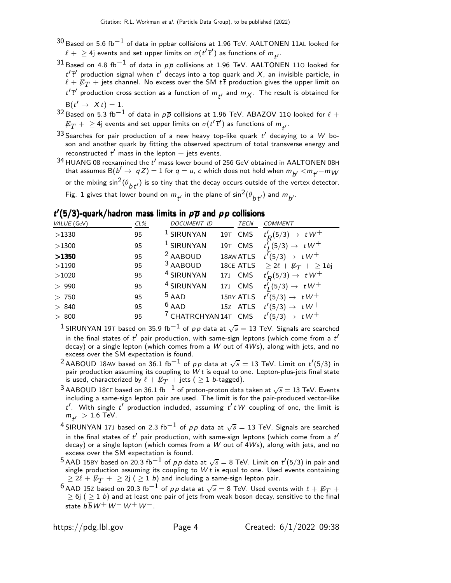- $^{30}$  Based on 5.6 fb $^{-1}$  of data in ppbar collisions at 1.96 TeV. AALTONEN 11AL looked for  $\ell\,+\, \geq$  4j events and set upper limits on  $\sigma(t'\,\overline{t}')$  as functions of  $m_{t'}$ .
- 31 Based on 4.8 fb<sup>-1</sup> of data in  $p\overline{p}$  collisions at 1.96 TeV. AALTONEN 110 looked for  $t'\bar{t}'$  production signal when  $t'$  decays into a top quark and X, an invisible particle, in  $\ell + \not\!\!{E}_T$  + jets channel. No excess over the SM  $t\,\overline{t}$  production gives the upper limit on  $t'\overline{t}'$  production cross section as a function of  $m_{\overline{t}'}$  and  $m_X$ . The result is obtained for  $B(t' \rightarrow X t) = 1.$
- $32$  Based on 5.3 fb<sup>-1</sup> of data in  $p\overline{p}$  collisions at 1.96 TeV. ABAZOV 11Q looked for  $\ell$  +  $\not\!\! E_T + \geq$  4j events and set upper limits on  $\sigma(t'\overline{t}')$  as functions of  $m_{t'}.$
- $^{33}$  Searches for pair production of a new heavy top-like quark  $t^\prime$  decaying to a  $W$  boson and another quark by fitting the observed spectrum of total transverse energy and reconstructed  $t'$  mass in the lepton  $+$  jets events.
- $^{34}$ HUANG 08 reexamined the  $t^\prime$  mass lower bound of 256 GeV obtained in AALTONEN 08H that assumes  $B(b'\to~qZ)=1$  for  $q=u$ ,  $c$  which does not hold when  $m_{\overline{b}'}$   $<$   $m_{\overline{t}'}$   $m_W$ or the mixing  $\sin^2(\theta_{bt'})$  is so tiny that the decay occurs outside of the vertex detector. Fig. 1 gives that lower bound on  $m_{t'}^{}$  in the plane of  $\sin^2(\theta_{b\,t'})$  and  $m_{b'}^{}$ .

|  |  |  |  |  |  |  |  | $t'(5/3)$ -quark/hadron mass limits in $p\overline{p}$ and $p\overline{p}$ collisions |
|--|--|--|--|--|--|--|--|---------------------------------------------------------------------------------------|
|--|--|--|--|--|--|--|--|---------------------------------------------------------------------------------------|

| VALUE (GeV) | $CL\%$ | <b>DOCUMENT ID</b><br><b>TECN</b>   | <b>COMMENT</b>                                     |
|-------------|--------|-------------------------------------|----------------------------------------------------|
| >1330       | 95     | $1$ SIRUNYAN<br>CMS<br>19T          | $t'_{R}(5/3) \rightarrow tW^{+}$                   |
| >1300       | 95     | <sup>1</sup> SIRUNYAN<br>CMS<br>19T | $t'_1(5/3) \rightarrow tW^+$                       |
| >1350       | 95     | <sup>2</sup> AABOUD<br>18AW ATLS    | $t'(5/3) \rightarrow tW^+$                         |
| >1190       | 95     | <sup>3</sup> AABOUD<br>18CE ATLS    | $\geq 2\ell + \not\!\!{E_T}$ + $\geq 1$ <i>b</i> j |
| >1020       | 95     | <sup>4</sup> SIRUNYAN<br>17J CMS    | $t'_{R}(5/3) \rightarrow tW^{+}$                   |
| >990        | 95     | <sup>4</sup> SIRUNYAN<br>CMS<br>17J | $t'_1(5/3) \to tW^+$                               |
| >750        | 95     | $5$ AAD<br>15BY ATLS                | $t'(5/3) \rightarrow tW^+$                         |
| > 840       | 95     | $6$ AAD<br>15Z ATLS                 | $t'(5/3) \rightarrow tW^+$                         |
| >800        | 95     | <sup>7</sup> CHATRCHYAN 14T CMS     | $tW^+$<br>t'(5/3)                                  |
|             |        |                                     |                                                    |

- $^1$ SIRUNYAN 19⊤ based on 35.9 fb $^{-1}$  of  $\rho \rho$  data at  $\sqrt{s}=$  13 TeV. Signals are searched in the final states of  $t'$  pair production, with same-sign leptons (which come from a  $t'$ decay) or a single lepton (which comes from a W out of 4Ws), along with jets, and no excess over the SM expectation is found.
- $^2$ AABOUD 18AW based on 36.1 fb $^{-1}$  of  $\rho \rho$  data at  $\sqrt{s}=$  13 TeV. Limit on  $t'(5/3)$  in pair production assuming its coupling to  $\dot{W}t$  is equal to one. Lepton-plus-jets final state is used, characterized by  $\ell + \not\!\!{E}_T + \text{jets}$  (  $\geq 1$  b-tagged).
- $^3$ AABOUD 18CE based on 36.1 fb $^{-1}$  of proton-proton data taken at  $\sqrt{s} =$  13 TeV. Events including a same-sign lepton pair are used. The limit is for the pair-produced vector-like t'. With single t' production included, assuming t' tW coupling of one, the limit is  $m_{t'}$   $> 1.6$  TeV.
- $^4$ SIRUNYAN 17J based on 2.3 fb $^{-1}$  of  $p\,p$  data at  $\sqrt{s} =$  13 TeV. Signals are searched in the final states of  $t^\prime$  pair production, with same-sign leptons (which come from a  $t^\prime$ decay) or a single lepton (which comes from a  $W$  out of 4 $W$ s), along with jets, and no excess over the SM expectation is found.
- $^5$ AAD 15BY based on 20.3 fb $^{-1}$  of  $\rho \rho$  data at  $\sqrt{s}=$  8 TeV. Limit on  $t'(5/3)$  in pair and single production assuming its coupling to  $W\,t$  is equal to one. Used events containing  $\geq 2\ell + \not\!\!{E_{T}} + \geq$  2j  $(\geq 1$   $b)$  and including a same-sign lepton pair.
- $^6$  AAD 15Z based on 20.3 fb $^{-1}$  of pp data at  $\sqrt{s} = 8$  TeV. Used events with  $\ell + \not\!\!E_{T} + \vec{k}_{T}$  $\geq$  6j (  $\geq$  1 b) and at least one pair of jets from weak boson decay, sensitive to the final state  $b\overline{b}W^+W^-W^+W^-$ .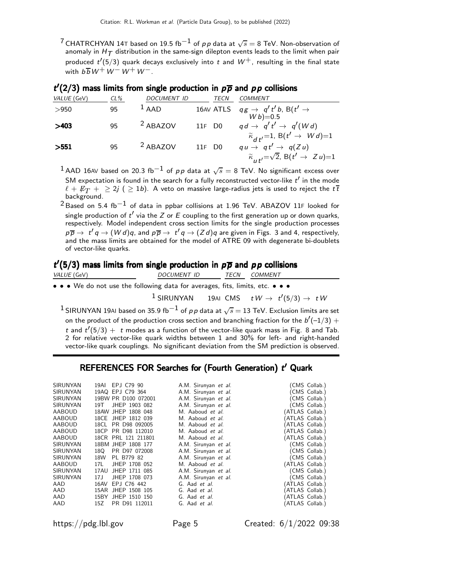$^7$ CHATRCHYAN 14T based on 19.5 fb $^{-1}$  of  $\rho \, \rho$  data at  $\sqrt{s} =$  8 TeV. Non-observation of anomaly in  $H_T$  distribution in the same-sign dilepton events leads to the limit when pair produced  $t'(5/3)$  quark decays exclusively into  $t$  and  $W^+$ , resulting in the final state with  $b\overline{b}W^+W^-W^+W^-$ 

| VALUE (GeV) | $CL\%$ | <b>DOCUMENT ID</b>  |        | <b>TECN</b> | <b>COMMENT</b>                                                                                                                                                             |
|-------------|--------|---------------------|--------|-------------|----------------------------------------------------------------------------------------------------------------------------------------------------------------------------|
| >950        | 95     | $1$ AAD             |        |             | 16AV ATLS $qg \rightarrow q' t' b$ , B( $t' \rightarrow$<br>$W b = 0.5$                                                                                                    |
| >403        | 95     | <sup>2</sup> ABAZOV |        | 11F D0      | $q d \rightarrow q' t' \rightarrow q'(W d)$                                                                                                                                |
| >551        | 95     | <sup>2</sup> ABAZOV | 11F D0 |             | $\widetilde{\kappa}_{d,t'}=1$ , B( $t' \rightarrow Wd=1$<br>$qu \rightarrow q t' \rightarrow q(Zu)$<br>$\widetilde{\kappa}_{u,t} = \sqrt{2}$ , B( $t' \rightarrow Z u$ )=1 |

#### $t'(2/3)$  mass limits from single production in  $\rho\overline{\rho}$  and  $\rho\rho$  collisions

 $^{\text{1}}$  AAD 16AV based on 20.3 fb $^{-1}$  of  $\rho \rho$  data at  $\sqrt{s} =$  8 TeV. No significant excess over SM expectation is found in the search for a fully reconstructed vector-like  $t^\prime$  in the mode  $\ell + \not\!\! E_T + \geq 2j$  (  $\geq 1b$ ). A veto on massive large-radius jets is used to reject the  $t\,\overline{t}$ <br>background.

 $2$ Based on 5.4 fb<sup>-1</sup> of data in ppbar collisions at 1.96 TeV. ABAZOV 11F looked for single production of  $t^\prime$  via the  $Z$  or  $E$  coupling to the first generation up or down quarks, respectively. Model independent cross section limits for the single production processes  $p\overline{p}\to~t' \, q \to (W\, d) q$ , and  $p\overline{p}\to~t' \, q \to (Z\, d) q$  are given in Figs. 3 and 4, respectively,<br>and the mass limits are obtained for the model of ATRE 09 with degenerate bi-doublets of vector-like quarks.

#### $t'(5/3)$  mass limits from single production in  $\rho\overline{\rho}$  and  $\rho\rho$  collisions

| ______<br>VALUE (GeV) | DOCUMENT ID | ΈCΝ | <i><b>OMMENT</b></i> |  |
|-----------------------|-------------|-----|----------------------|--|
|                       |             |     |                      |  |

• • • We do not use the following data for averages, fits, limits, etc. • • •

 $1$  SIRUNYAN 19AI CMS  $t \, W \rightarrow t'(5/3) \rightarrow t W$ 

 $^1$ SIRUNYAN 19AI based on 35.9 fb $^{-1}$  of  $\rho\, \rho$  data at  $\sqrt{s} =$  13 TeV. Exclusion limits are set on the product of the production cross section and branching fraction for the  $b'(-1/3)\; +\;$ t and  $t'(5/3) + t$  modes as a function of the vector-like quark mass in Fig. 8 and Tab. 2 for relative vector-like quark widths between 1 and 30% for left- and right-handed vector-like quark couplings. No significant deviation from the SM prediction is observed.

### REFERENCES FOR Searches for (Fourth Generation) t' Quark

| SIRUNYAN<br>SIRUNYAN | EPJ C79 90<br>19AI<br>19AQ EPJ C79 364 | A.M. Sirunyan et al.<br>A.M. Sirunyan et al. | (CMS Collab.)<br>(CMS Collab.) |
|----------------------|----------------------------------------|----------------------------------------------|--------------------------------|
| SIRUNYAN             | 19BW PR D100 072001                    | A.M. Sirunyan et al.                         | CMS Collab.)                   |
| SIRUNYAN             | JHEP 1903 082<br>19T                   | A.M. Sirunyan et al.                         | (CMS Collab.)                  |
| AABOUD               | 18AW JHEP 1808 048                     | M. Aaboud <i>et al.</i>                      | (ATLAS Collab.)                |
| AABOUD               | 18CE JHEP 1812 039                     | M. Aaboud <i>et al.</i>                      | (ATLAS Collab.)                |
| AABOUD               | 18CL PR D98 092005                     | M. Aaboud et al.                             | (ATLAS Collab.)                |
| AABOUD               | 18CP PR D98 112010                     | M. Aaboud et al.                             | (ATLAS Collab.)                |
| AABOUD               | 18CR PRL 121 211801                    | M. Aaboud et al.                             | (ATLAS Collab.)                |
| SIRUNYAN             | 18BM JHEP 1808 177                     | A.M. Sirunyan et al.                         | (CMS Collab.)                  |
| SIRUNYAN             | 18Q<br>PR D97 072008                   | A.M. Sirunyan et al.                         | (CMS Collab.)                  |
| SIRUNYAN             | 18W<br>PL B779 82                      | A.M. Sirunyan et al.                         | (CMS Collab.)                  |
| AABOUD               | JHEP 1708 052<br>17L                   | M. Aaboud et al.                             | (ATLAS Collab.)                |
| SIRUNYAN             | JHEP 1711 085<br>17AU                  | A.M. Sirunyan et al.                         | (CMS Collab.)                  |
| SIRUNYAN             | JHEP 1708 073<br>17 J                  | A.M. Sirunyan et al.                         | (CMS Collab.)                  |
| AAD                  | EPJ C76 442<br>16AV                    | G. Aad et al.                                | (ATLAS Collab.)                |
| AAD                  | 15AR JHEP 1508 105                     | G. Aad et al.                                | (ATLAS Collab.)                |
| AAD                  | 15BY<br>JHEP 1510 150                  | G. Aad et al.                                | (ATLAS Collab.)                |
| AAD                  | 15Z<br>PR D91 112011                   | G. Aad et al.                                | ATLAS Collab.)                 |

https://pdg.lbl.gov Page 5 Created: 6/1/2022 09:38